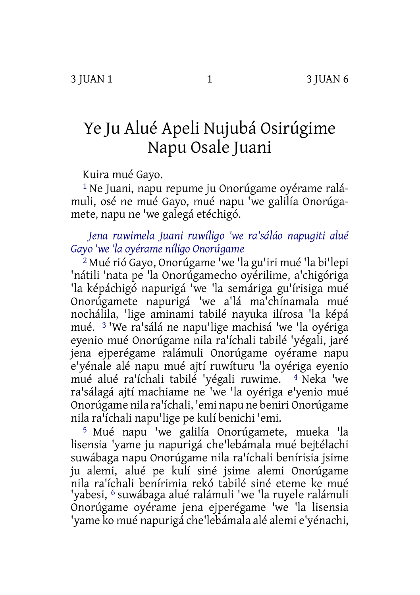# Ye Ju Alué Apeli Nujubá Osirúgime Napu Osale Juani

Kuira mué Gayo.

1 Ne Juani, napu repume ju Onorúgame oyérame ralámuli, osé ne mué Gayo, mué napu 'we galilía Onorúgamete, napu ne 'we galegá etéchigó.

# *Jena ruwimela Juani ruwíligo 'we ra'sáláo napugiti alué Gayo 'we 'la oyérame níligo Onorúgame*

2 Mué rió Gayo, Onorúgame 'we 'la gu'iri mué 'la bi'lepi 'nátili 'nata pe 'la Onorúgamecho oyérilime, a'chigóriga 'la képáchigó napurigá 'we 'la semáriga gu'írisiga mué Onorúgamete napurigá 'we a'lá ma'chínamala mué nochálila, 'lige aminami tabilé nayuka ilírosa 'la képá mué. 3 'We ra'sálá ne napu'lige machisá 'we 'la oyériga eyenio mué Onorúgame nila ra'íchali tabilé 'yégali, jaré jena ejperégame ralámuli Onorúgame oyérame napu e'yénale alé napu mué ajtí ruwíturu 'la oyériga eyenio mué alué ra'íchali tabilé 'yégali ruwime. 4 Neka 'we ra'sálagá ajtí machiame ne 'we 'la oyériga e'yenio mué Onorúgame nila ra'íchali, 'emi napu ne beniri Onorúgame nila ra'íchali napu'lige pe kulí benichi 'emi.

5 Mué napu 'we galilía Onorúgamete, mueka 'la lisensia 'yame ju napurigá che'lebámala mué bejtélachi suwábaga napu Onorúgame nila ra'íchali benírisia jsime ju alemi, alué pe kulí siné jsime alemi Onorúgame nila ra'íchali benírimia rekó tabilé siné eteme ke mué 'yabesi, 6 suwábaga alué ralámuli 'we 'la ruyele ralámuli Onorúgame oyérame jena ejperégame 'we 'la lisensia 'yame ko mué napurigá che'lebámala alé alemi e'yénachi,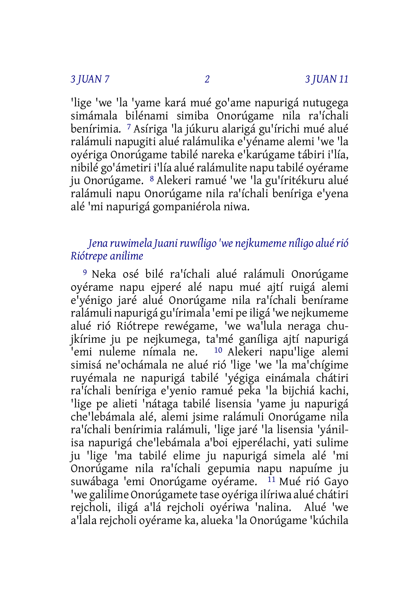'lige 'we 'la 'yame kará mué go'ame napurigá nutugega simámala bilénami simiba Onorúgame nila ra'íchali benírimia. 7 Asíriga 'la júkuru alarigá gu'írichi mué alué ralámuli napugiti alué ralámulika e'yéname alemi 'we 'la oyériga Onorúgame tabilé nareka e'karúgame tábiri i'lía, nibilé go'ámetiri i'lía alué ralámulite napu tabilé oyérame ju Onorúgame. 8 Alekeri ramué 'we 'la gu'íritékuru alué ralámuli napu Onorúgame nila ra'íchali beníriga e'yena alé 'mi napurigá gompaniérola niwa.

## *Jena ruwimela Juaniruwíligo 'we nejkumeme níligo aluérió Riótrepe anilime*

9 Neka osé bilé ra'íchali alué ralámuli Onorúgame oyérame napu ejperé alé napu mué ajtí ruigá alemi e'yénigo jaré alué Onorúgame nila ra'íchali benírame ralámuli napurigá gu'írimala 'emi pe iligá 'we nejkumeme alué rió Riótrepe rewégame, 'we wa'lula neraga chujkírime ju pe nejkumega, ta'mé ganíliga ajtí napurigá 'emi nuleme nímala ne. 10 Alekeri napu'lige alemi simisá ne'ochámala ne alué rió 'lige 'we 'la ma'chígime ruyémala ne napurigá tabilé 'yégiga einámala chátiri ra'íchali beníriga e'yenio ramué peka 'la bijchiá kachi, 'lige pe alieti 'nátaga tabilé lisensia 'yame ju napurigá che'lebámala alé, alemi jsime ralámuli Onorúgame nila ra'íchali benírimia ralámuli, 'lige jaré 'la lisensia 'yánilisa napurigá che'lebámala a'boi ejperélachi, yati sulime ju 'lige 'ma tabilé elime ju napurigá simela alé 'mi Onorúgame nila ra'íchali gepumia napu napuíme ju suwábaga 'emi Onorúgame oyérame. <sup>11</sup> Mué rió Gayo 'we galilime Onorúgamete tase oyériga ilíriwa alué chátiri rejcholi, iligá a'lá rejcholi oyériwa 'nalina. Alué 'we a'lala rejcholi oyérame ka, alueka 'la Onorúgame 'kúchila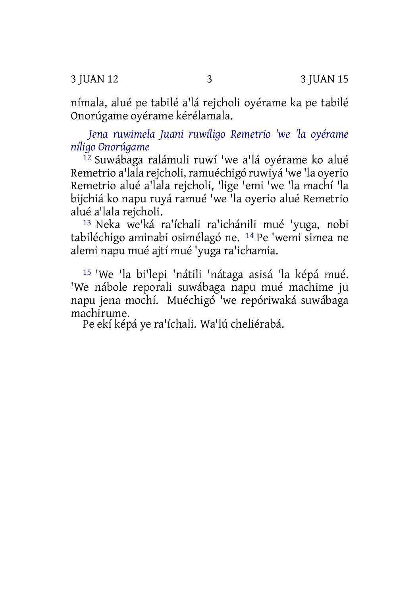3 JUAN 12 3 3 JUAN 15

nímala, alué pe tabilé a'lá rejcholi oyérame ka pe tabilé Onorúgame oyérame kérélamala.

*Jena ruwimela Juani ruwíligo Remetrio 'we 'la oyérame níligo Onorúgame*

12 Suwábaga ralámuli ruwí 'we a'lá oyérame ko alué Remetrio a'lala rejcholi,ramuéchigó ruwiyá 'we 'la oyerio Remetrio alué a'lala rejcholi, 'lige 'emi 'we 'la machí 'la bijchiá ko napu ruyá ramué 'we 'la oyerio alué Remetrio alué a'lala rejcholi.

13 Neka we'ká ra'íchali ra'ichánili mué 'yuga, nobi tabiléchigo aminabi osimélagó ne. 14 Pe 'wemi simea ne alemi napu mué ajtí mué 'yuga ra'ichamia.

15 'We 'la bi'lepi 'nátili 'nátaga asisá 'la képá mué. 'We nábole reporali suwábaga napu mué machime ju napu jena mochí. Muéchigó 'we repóriwaká suwábaga machirume.

Pe ekí képá ye ra'íchali. Wa'lú cheliérabá.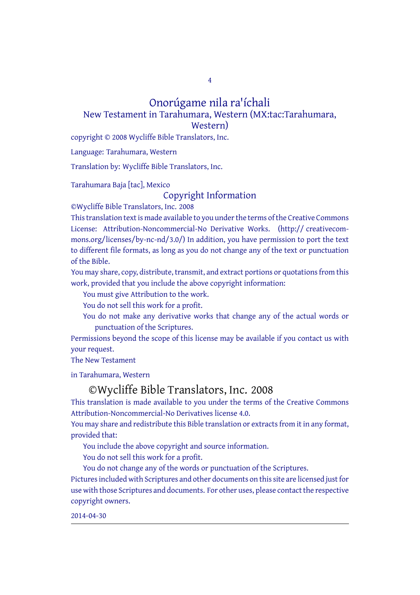4

### Onorúgame nila ra'íchali New Testament in Tarahumara, Western (MX:tac:Tarahumara, Western)

copyright © 2008 Wycliffe Bible Translators, Inc.

Language: Tarahumara, Western

Translation by: Wycliffe Bible Translators, Inc.

Tarahumara Baja [tac], Mexico

Copyright Information

©Wycliffe Bible Translators, Inc. 2008

This translation text is made available to you under the terms of the Creative Commons License: Attribution-Noncommercial-No Derivative Works. (http:// creativecommons.org/licenses/by-nc-nd/3.0/) In addition, you have permission to port the text to different file formats, as long as you do not change any of the text or punctuation of the Bible.

You may share, copy, distribute, transmit, and extract portions or quotations from this work, provided that you include the above copyright information:

You must give Attribution to the work.

You do not sell this work for a profit.

You do not make any derivative works that change any of the actual words or punctuation of the Scriptures.

Permissions beyond the scope of this license may be available if you contact us with your request.

The New Testament

in Tarahumara, Western

### ©Wycliffe Bible Translators, Inc. 2008

This translation is made available to you under the terms of the Creative Commons Attribution-Noncommercial-No Derivatives license 4.0.

You may share and redistribute this Bible translation or extracts from it in any format, provided that:

You include the above copyright and source information.

You do not sell this work for a profit.

You do not change any of the words or punctuation of the Scriptures.

Pictures included with Scriptures and other documents on this site are licensed just for use with those Scriptures and documents. For other uses, please contact the respective copyright owners.

2014-04-30